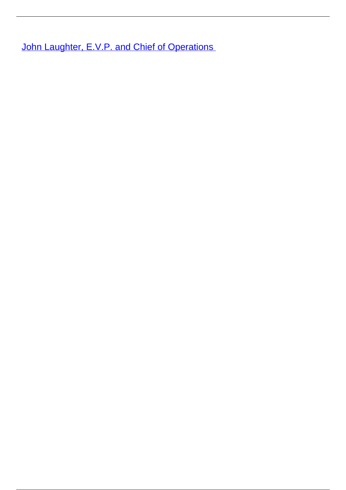**[John Laughter, E.V.P. and Chief of Operations](/leader-bio-john-laughter-evp-chief-operations)**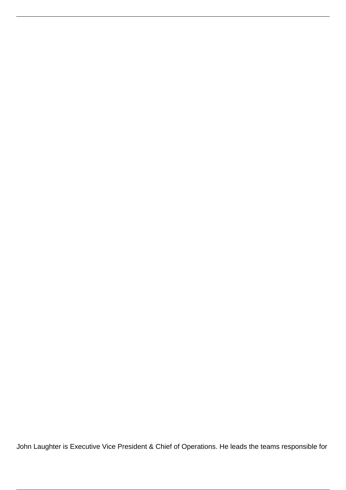John Laughter is Executive Vice President & Chief of Operations. He leads the teams responsible for